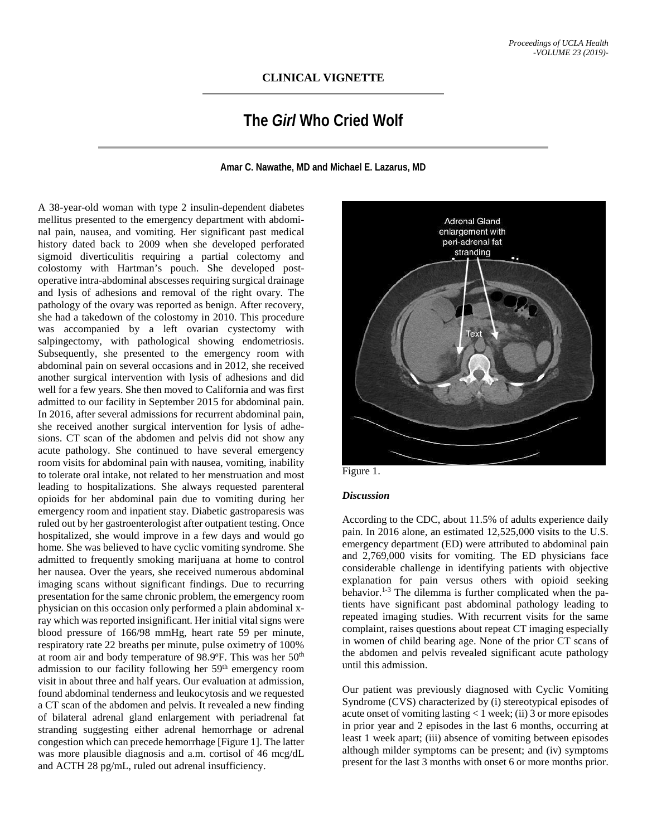## **CLINICAL VIGNETTE**

## **The** *Girl* **Who Cried Wolf**

**Amar C. Nawathe, MD and Michael E. Lazarus, MD**

A 38-year-old woman with type 2 insulin-dependent diabetes mellitus presented to the emergency department with abdominal pain, nausea, and vomiting. Her significant past medical history dated back to 2009 when she developed perforated sigmoid diverticulitis requiring a partial colectomy and colostomy with Hartman's pouch. She developed postoperative intra-abdominal abscesses requiring surgical drainage and lysis of adhesions and removal of the right ovary. The pathology of the ovary was reported as benign. After recovery, she had a takedown of the colostomy in 2010. This procedure was accompanied by a left ovarian cystectomy with salpingectomy, with pathological showing endometriosis. Subsequently, she presented to the emergency room with abdominal pain on several occasions and in 2012, she received another surgical intervention with lysis of adhesions and did well for a few years. She then moved to California and was first admitted to our facility in September 2015 for abdominal pain. In 2016, after several admissions for recurrent abdominal pain, she received another surgical intervention for lysis of adhesions. CT scan of the abdomen and pelvis did not show any acute pathology. She continued to have several emergency room visits for abdominal pain with nausea, vomiting, inability to tolerate oral intake, not related to her menstruation and most leading to hospitalizations. She always requested parenteral opioids for her abdominal pain due to vomiting during her emergency room and inpatient stay. Diabetic gastroparesis was ruled out by her gastroenterologist after outpatient testing. Once hospitalized, she would improve in a few days and would go home. She was believed to have cyclic vomiting syndrome. She admitted to frequently smoking marijuana at home to control her nausea. Over the years, she received numerous abdominal imaging scans without significant findings. Due to recurring presentation for the same chronic problem, the emergency room physician on this occasion only performed a plain abdominal xray which was reported insignificant. Her initial vital signs were blood pressure of 166/98 mmHg, heart rate 59 per minute, respiratory rate 22 breaths per minute, pulse oximetry of 100% at room air and body temperature of 98.9ºF. This was her 50th admission to our facility following her 59<sup>th</sup> emergency room visit in about three and half years. Our evaluation at admission, found abdominal tenderness and leukocytosis and we requested a CT scan of the abdomen and pelvis. It revealed a new finding of bilateral adrenal gland enlargement with periadrenal fat stranding suggesting either adrenal hemorrhage or adrenal congestion which can precede hemorrhage [Figure 1]. The latter was more plausible diagnosis and a.m. cortisol of 46 mcg/dL and ACTH 28 pg/mL, ruled out adrenal insufficiency.



Figure 1.

## *Discussion*

According to the CDC, about 11.5% of adults experience daily pain. In 2016 alone, an estimated 12,525,000 visits to the U.S. emergency department (ED) were attributed to abdominal pain and 2,769,000 visits for vomiting. The ED physicians face considerable challenge in identifying patients with objective explanation for pain versus others with opioid seeking behavior.<sup>1-3</sup> The dilemma is further complicated when the patients have significant past abdominal pathology leading to repeated imaging studies. With recurrent visits for the same complaint, raises questions about repeat CT imaging especially in women of child bearing age. None of the prior CT scans of the abdomen and pelvis revealed significant acute pathology until this admission.

Our patient was previously diagnosed with Cyclic Vomiting Syndrome (CVS) characterized by (i) stereotypical episodes of acute onset of vomiting lasting < 1 week; (ii) 3 or more episodes in prior year and 2 episodes in the last 6 months, occurring at least 1 week apart; (iii) absence of vomiting between episodes although milder symptoms can be present; and (iv) symptoms present for the last 3 months with onset 6 or more months prior.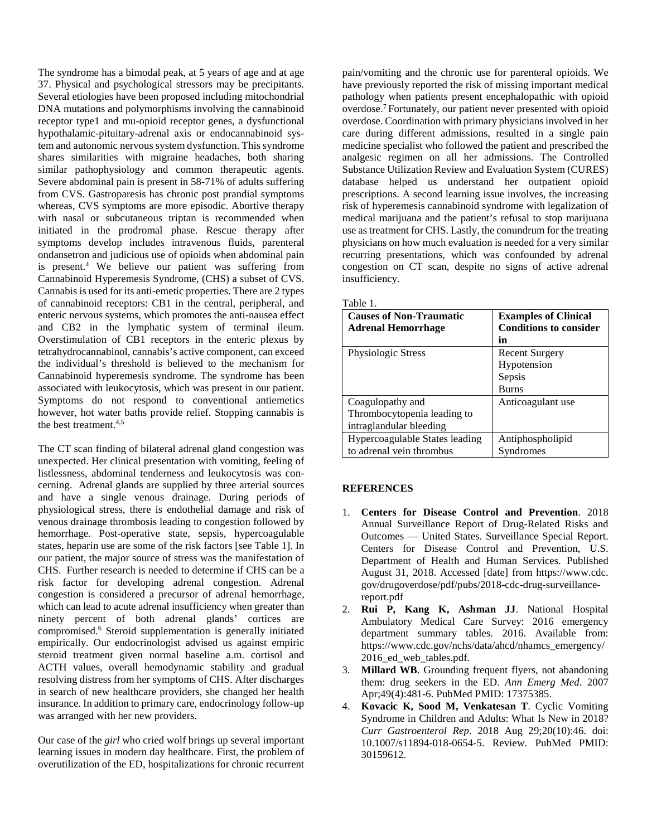The syndrome has a bimodal peak, at 5 years of age and at age 37. Physical and psychological stressors may be precipitants. Several etiologies have been proposed including mitochondrial DNA mutations and polymorphisms involving the cannabinoid receptor type1 and mu-opioid receptor genes, a dysfunctional hypothalamic-pituitary-adrenal axis or endocannabinoid system and autonomic nervous system dysfunction. This syndrome shares similarities with migraine headaches, both sharing similar pathophysiology and common therapeutic agents. Severe abdominal pain is present in 58-71% of adults suffering from CVS. Gastroparesis has chronic post prandial symptoms whereas, CVS symptoms are more episodic. Abortive therapy with nasal or subcutaneous triptan is recommended when initiated in the prodromal phase. Rescue therapy after symptoms develop includes intravenous fluids, parenteral ondansetron and judicious use of opioids when abdominal pain is present.<sup>4</sup> We believe our patient was suffering from Cannabinoid Hyperemesis Syndrome, (CHS) a subset of CVS. Cannabis is used for its anti-emetic properties. There are 2 types of cannabinoid receptors: CB1 in the central, peripheral, and enteric nervous systems, which promotes the anti-nausea effect and CB2 in the lymphatic system of terminal ileum. Overstimulation of CB1 receptors in the enteric plexus by tetrahydrocannabinol, cannabis's active component, can exceed the individual's threshold is believed to the mechanism for Cannabinoid hyperemesis syndrome. The syndrome has been associated with leukocytosis, which was present in our patient. Symptoms do not respond to conventional antiemetics however, hot water baths provide relief. Stopping cannabis is the best treatment.4,5

The CT scan finding of bilateral adrenal gland congestion was unexpected. Her clinical presentation with vomiting, feeling of listlessness, abdominal tenderness and leukocytosis was concerning. Adrenal glands are supplied by three arterial sources and have a single venous drainage. During periods of physiological stress, there is endothelial damage and risk of venous drainage thrombosis leading to congestion followed by hemorrhage. Post-operative state, sepsis, hypercoagulable states, heparin use are some of the risk factors [see Table 1]. In our patient, the major source of stress was the manifestation of CHS. Further research is needed to determine if CHS can be a risk factor for developing adrenal congestion. Adrenal congestion is considered a precursor of adrenal hemorrhage, which can lead to acute adrenal insufficiency when greater than ninety percent of both adrenal glands' cortices are compromised.6 Steroid supplementation is generally initiated empirically. Our endocrinologist advised us against empiric steroid treatment given normal baseline a.m. cortisol and ACTH values, overall hemodynamic stability and gradual resolving distress from her symptoms of CHS. After discharges in search of new healthcare providers, she changed her health insurance. In addition to primary care, endocrinology follow-up was arranged with her new providers.

Our case of the *girl* who cried wolf brings up several important learning issues in modern day healthcare. First, the problem of overutilization of the ED, hospitalizations for chronic recurrent

pain/vomiting and the chronic use for parenteral opioids. We have previously reported the risk of missing important medical pathology when patients present encephalopathic with opioid overdose. 7 Fortunately, our patient never presented with opioid overdose. Coordination with primary physicians involved in her care during different admissions, resulted in a single pain medicine specialist who followed the patient and prescribed the analgesic regimen on all her admissions. The Controlled Substance Utilization Review and Evaluation System (CURES) database helped us understand her outpatient opioid prescriptions. A second learning issue involves, the increasing risk of hyperemesis cannabinoid syndrome with legalization of medical marijuana and the patient's refusal to stop marijuana use as treatment for CHS. Lastly, the conundrum for the treating physicians on how much evaluation is needed for a very similar recurring presentations, which was confounded by adrenal congestion on CT scan, despite no signs of active adrenal insufficiency.

|--|--|

| <b>Causes of Non-Traumatic</b><br><b>Adrenal Hemorrhage</b>                | <b>Examples of Clinical</b><br><b>Conditions to consider</b><br>in |
|----------------------------------------------------------------------------|--------------------------------------------------------------------|
| Physiologic Stress                                                         | <b>Recent Surgery</b><br>Hypotension<br>Sepsis<br><b>Burns</b>     |
| Coagulopathy and<br>Thrombocytopenia leading to<br>intraglandular bleeding | Anticoagulant use                                                  |
| Hypercoagulable States leading<br>to adrenal vein thrombus                 | Antiphospholipid<br>Syndromes                                      |

## **REFERENCES**

- 1. **Centers for Disease Control and Prevention**. 2018 Annual Surveillance Report of Drug-Related Risks and Outcomes — United States. Surveillance Special Report. Centers for Disease Control and Prevention, U.S. Department of Health and Human Services. Published August 31, 2018. Accessed [date] from https://www.cdc. gov/drugoverdose/pdf/pubs/2018-cdc-drug-surveillancereport.pdf
- 2. **Rui P, Kang K, Ashman JJ**. National Hospital Ambulatory Medical Care Survey: 2016 emergency department summary tables. 2016. Available from: https://www.cdc.gov/nchs/data/ahcd/nhamcs\_emergency/ 2016 ed web tables.pdf.
- 3. **Millard WB**. Grounding frequent flyers, not abandoning them: drug seekers in the ED. *Ann Emerg Med*. 2007 Apr;49(4):481-6. PubMed PMID: 17375385.
- 4. **Kovacic K, Sood M, Venkatesan T**. Cyclic Vomiting Syndrome in Children and Adults: What Is New in 2018? *Curr Gastroenterol Rep*. 2018 Aug 29;20(10):46. doi: 10.1007/s11894-018-0654-5. Review. PubMed PMID: 30159612.